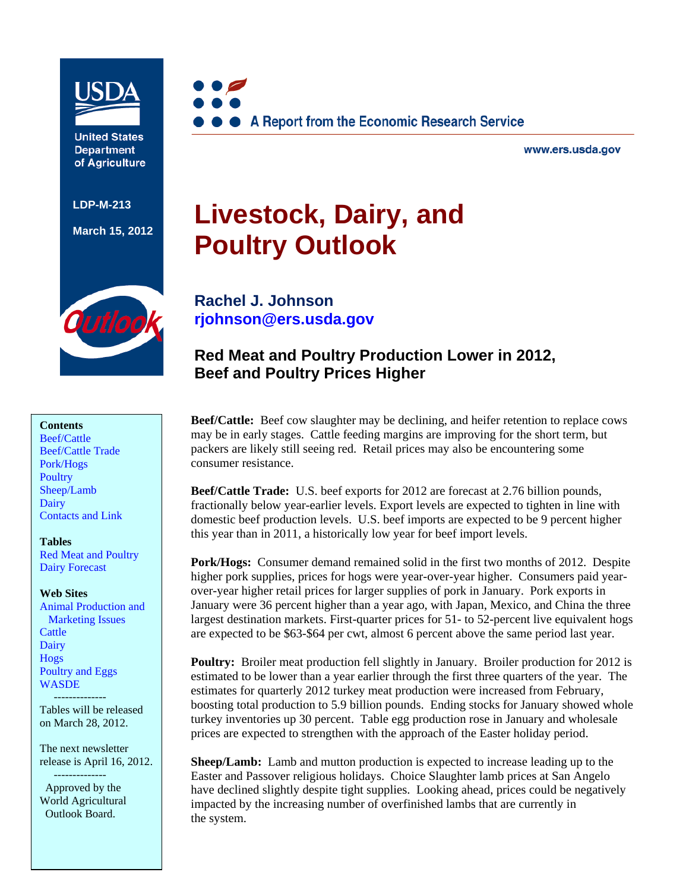

**United States Department** of Agriculture

**LDP-M-213** 

**March 15, 2012**



www.ers.usda.gov

# **Livestock, Dairy, and Poultry Outlook**

**Rachel J. Johnson** 

**[rjohnson@ers.usda.gov](mailto: rjohnson@ers.usda.gov)** 

**Beef and Poultry Prices Higher** 

utloo

## **Contents**

[Beef/Cattle](#page-2-0)  [Beef/Cattle Trade](#page-3-0)  [Pork/Hogs](#page-4-0)  **Poultry** [Sheep/Lamb](#page-11-0)  [Dairy](#page-13-0)  [Contacts and Link](#page-15-0) 

#### **Tables**

[Red Meat and Poultry](#page-16-0)  [Dairy Forecast](#page-17-0) 

#### **Web Sites**

[Animal Production and](http://www.ers.usda.gov/briefing/AnimalProducts/)  Marketing Issues **Cattle** [Dairy](http://www.ers.usda.gov/briefing/dairy/)  [Hogs](http://www.ers.usda.gov/briefing/hogs/)  [Poultry and Eggs](http://www.ers.usda.gov/briefing/poultry/)  **WASDE** 

--------------

Tables will be released on March 28, 2012.

The next newsletter release is April 16, 2012. --------------

 Approved by the World Agricultural Outlook Board.

**Beef/Cattle:** Beef cow slaughter may be declining, and heifer retention to replace cows may be in early stages. Cattle feeding margins are improving for the short term, but packers are likely still seeing red. Retail prices may also be encountering some consumer resistance.

**Red Meat and Poultry Production Lower in 2012,** 

**Beef/Cattle Trade:** U.S. beef exports for 2012 are forecast at 2.76 billion pounds, fractionally below year-earlier levels. Export levels are expected to tighten in line with domestic beef production levels. U.S. beef imports are expected to be 9 percent higher this year than in 2011, a historically low year for beef import levels.

**Pork/Hogs:** Consumer demand remained solid in the first two months of 2012. Despite higher pork supplies, prices for hogs were year-over-year higher. Consumers paid yearover-year higher retail prices for larger supplies of pork in January. Pork exports in January were 36 percent higher than a year ago, with Japan, Mexico, and China the three largest destination markets. First-quarter prices for 51- to 52-percent live equivalent hogs are expected to be \$63-\$64 per cwt, almost 6 percent above the same period last year.

**Poultry:** Broiler meat production fell slightly in January. Broiler production for 2012 is estimated to be lower than a year earlier through the first three quarters of the year. The estimates for quarterly 2012 turkey meat production were increased from February, boosting total production to 5.9 billion pounds. Ending stocks for January showed whole turkey inventories up 30 percent. Table egg production rose in January and wholesale prices are expected to strengthen with the approach of the Easter holiday period.

**Sheep/Lamb:** Lamb and mutton production is expected to increase leading up to the Easter and Passover religious holidays. Choice Slaughter lamb prices at San Angelo have declined slightly despite tight supplies. Looking ahead, prices could be negatively impacted by the increasing number of overfinished lambs that are currently in the system.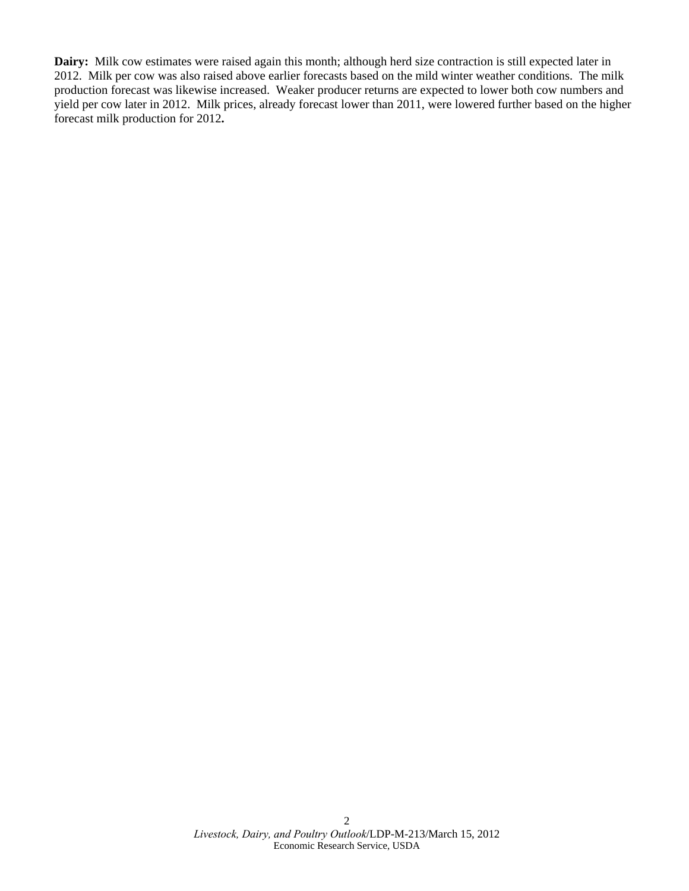**Dairy:** Milk cow estimates were raised again this month; although herd size contraction is still expected later in 2012. Milk per cow was also raised above earlier forecasts based on the mild winter weather conditions. The milk production forecast was likewise increased. Weaker producer returns are expected to lower both cow numbers and yield per cow later in 2012. Milk prices, already forecast lower than 2011, were lowered further based on the higher forecast milk production for 2012**.**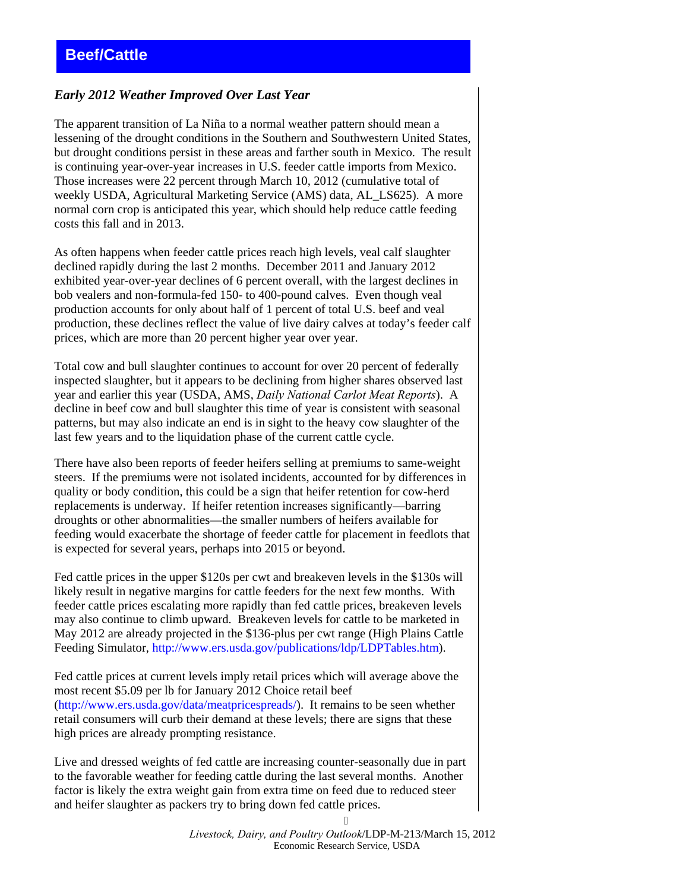## <span id="page-2-0"></span>*Early 2012 Weather Improved Over Last Year*

The apparent transition of La Niña to a normal weather pattern should mean a lessening of the drought conditions in the Southern and Southwestern United States, but drought conditions persist in these areas and farther south in Mexico. The result is continuing year-over-year increases in U.S. feeder cattle imports from Mexico. Those increases were 22 percent through March 10, 2012 (cumulative total of weekly USDA, Agricultural Marketing Service (AMS) data, AL\_LS625). A more normal corn crop is anticipated this year, which should help reduce cattle feeding costs this fall and in 2013.

As often happens when feeder cattle prices reach high levels, veal calf slaughter declined rapidly during the last 2 months. December 2011 and January 2012 exhibited year-over-year declines of 6 percent overall, with the largest declines in bob vealers and non-formula-fed 150- to 400-pound calves. Even though veal production accounts for only about half of 1 percent of total U.S. beef and veal production, these declines reflect the value of live dairy calves at today's feeder calf prices, which are more than 20 percent higher year over year.

Total cow and bull slaughter continues to account for over 20 percent of federally inspected slaughter, but it appears to be declining from higher shares observed last year and earlier this year (USDA, AMS, *Daily National Carlot Meat Reports*). A decline in beef cow and bull slaughter this time of year is consistent with seasonal patterns, but may also indicate an end is in sight to the heavy cow slaughter of the last few years and to the liquidation phase of the current cattle cycle.

There have also been reports of feeder heifers selling at premiums to same-weight steers. If the premiums were not isolated incidents, accounted for by differences in quality or body condition, this could be a sign that heifer retention for cow-herd replacements is underway. If heifer retention increases significantly—barring droughts or other abnormalities—the smaller numbers of heifers available for feeding would exacerbate the shortage of feeder cattle for placement in feedlots that is expected for several years, perhaps into 2015 or beyond.

Fed cattle prices in the upper \$120s per cwt and breakeven levels in the \$130s will likely result in negative margins for cattle feeders for the next few months. With feeder cattle prices escalating more rapidly than fed cattle prices, breakeven levels may also continue to climb upward. Breakeven levels for cattle to be marketed in May 2012 are already projected in the \$136-plus per cwt range (High Plains Cattle Feeding Simulator,<http://www.ers.usda.gov/publications/ldp/LDPTables.htm>).

Fed cattle prices at current levels imply retail prices which will average above the most recent \$5.09 per lb for January 2012 Choice retail beef [\(http://www.ers.usda.gov/data/meatpricespreads/\)](http://www.ers.usda.gov/data/meatpricespreads/). It remains to be seen whether retail consumers will curb their demand at these levels; there are signs that these high prices are already prompting resistance.

Live and dressed weights of fed cattle are increasing counter-seasonally due in part to the favorable weather for feeding cattle during the last several months. Another factor is likely the extra weight gain from extra time on feed due to reduced steer and heifer slaughter as packers try to bring down fed cattle prices.

> *Livestock, Dairy, and Poultry Outlook*/LDP-M-213/March 15, 2012 Economic Research Service, USDA

 $\leq$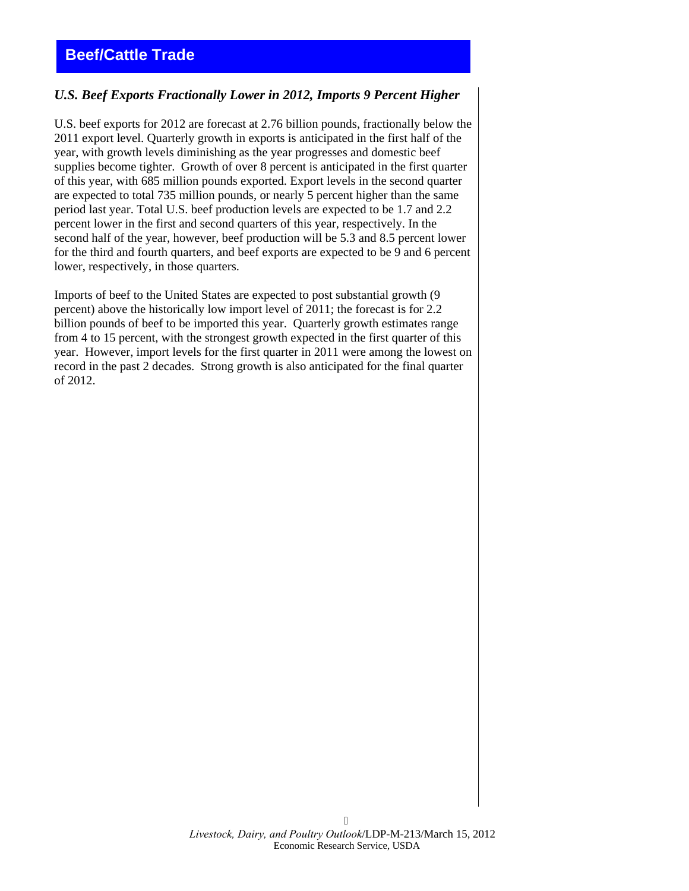## <span id="page-3-0"></span>**Beef/Cattle Trade**

## *U.S. Beef Exports Fractionally Lower in 2012, Imports 9 Percent Higher*

U.S. beef exports for 2012 are forecast at 2.76 billion pounds, fractionally below the 2011 export level. Quarterly growth in exports is anticipated in the first half of the year, with growth levels diminishing as the year progresses and domestic beef supplies become tighter. Growth of over 8 percent is anticipated in the first quarter of this year, with 685 million pounds exported. Export levels in the second quarter are expected to total 735 million pounds, or nearly 5 percent higher than the same period last year. Total U.S. beef production levels are expected to be 1.7 and 2.2 percent lower in the first and second quarters of this year, respectively. In the second half of the year, however, beef production will be 5.3 and 8.5 percent lower for the third and fourth quarters, and beef exports are expected to be 9 and 6 percent lower, respectively, in those quarters.

Imports of beef to the United States are expected to post substantial growth (9 percent) above the historically low import level of 2011; the forecast is for 2.2 billion pounds of beef to be imported this year. Quarterly growth estimates range from 4 to 15 percent, with the strongest growth expected in the first quarter of this year. However, import levels for the first quarter in 2011 were among the lowest on record in the past 2 decades. Strong growth is also anticipated for the final quarter of 2012.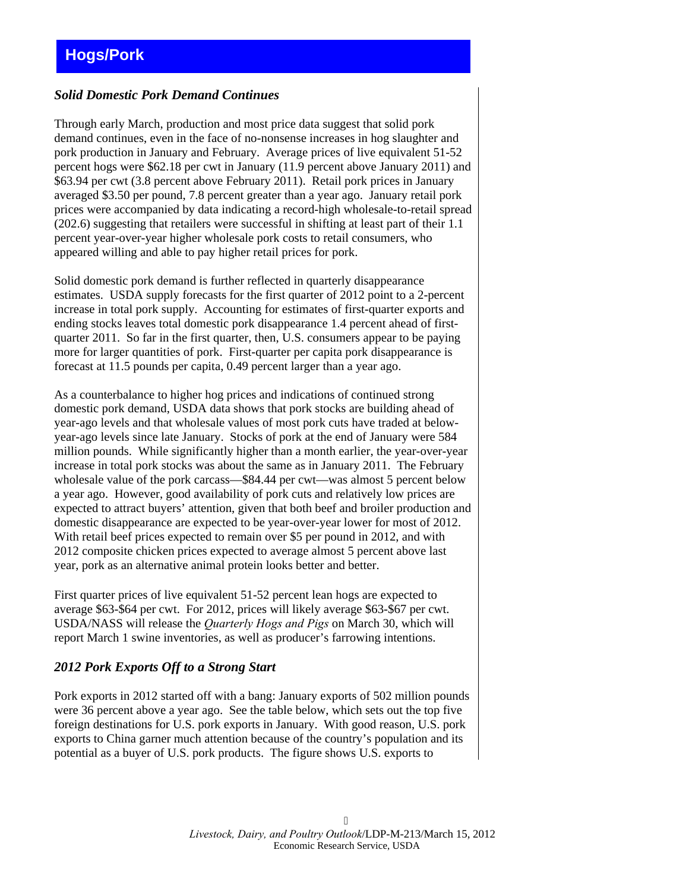## <span id="page-4-0"></span>*Solid Domestic Pork Demand Continues*

Through early March, production and most price data suggest that solid pork demand continues, even in the face of no-nonsense increases in hog slaughter and pork production in January and February. Average prices of live equivalent 51-52 percent hogs were \$62.18 per cwt in January (11.9 percent above January 2011) and \$63.94 per cwt (3.8 percent above February 2011). Retail pork prices in January averaged \$3.50 per pound, 7.8 percent greater than a year ago. January retail pork prices were accompanied by data indicating a record-high wholesale-to-retail spread (202.6) suggesting that retailers were successful in shifting at least part of their 1.1 percent year-over-year higher wholesale pork costs to retail consumers, who appeared willing and able to pay higher retail prices for pork.

Solid domestic pork demand is further reflected in quarterly disappearance estimates. USDA supply forecasts for the first quarter of 2012 point to a 2-percent increase in total pork supply. Accounting for estimates of first-quarter exports and ending stocks leaves total domestic pork disappearance 1.4 percent ahead of firstquarter 2011. So far in the first quarter, then, U.S. consumers appear to be paying more for larger quantities of pork. First-quarter per capita pork disappearance is forecast at 11.5 pounds per capita, 0.49 percent larger than a year ago.

As a counterbalance to higher hog prices and indications of continued strong domestic pork demand, USDA data shows that pork stocks are building ahead of year-ago levels and that wholesale values of most pork cuts have traded at belowyear-ago levels since late January. Stocks of pork at the end of January were 584 million pounds. While significantly higher than a month earlier, the year-over-year increase in total pork stocks was about the same as in January 2011. The February wholesale value of the pork carcass—\$84.44 per cwt—was almost 5 percent below a year ago. However, good availability of pork cuts and relatively low prices are expected to attract buyers' attention, given that both beef and broiler production and domestic disappearance are expected to be year-over-year lower for most of 2012. With retail beef prices expected to remain over \$5 per pound in 2012, and with 2012 composite chicken prices expected to average almost 5 percent above last year, pork as an alternative animal protein looks better and better.

First quarter prices of live equivalent 51-52 percent lean hogs are expected to average \$63-\$64 per cwt. For 2012, prices will likely average \$63-\$67 per cwt. USDA/NASS will release the *Quarterly Hogs and Pigs* on March 30, which will report March 1 swine inventories, as well as producer's farrowing intentions.

## *2012 Pork Exports Off to a Strong Start*

Pork exports in 2012 started off with a bang: January exports of 502 million pounds were 36 percent above a year ago. See the table below, which sets out the top five foreign destinations for U.S. pork exports in January. With good reason, U.S. pork exports to China garner much attention because of the country's population and its potential as a buyer of U.S. pork products. The figure shows U.S. exports to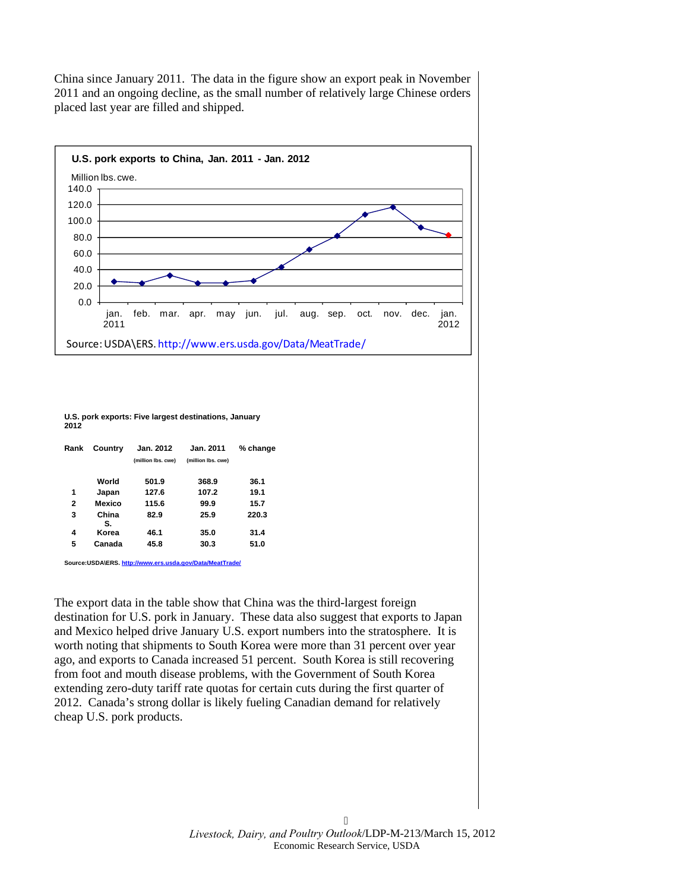China since January 2011. The data in the figure show an export peak in November 2011 and an ongoing decline, as the small number of relatively large Chinese orders placed last year are filled and shipped.



#### **U.S. pork exports: Five largest destinations, January 2012**

| Rank | Country     | Jan. 2012<br>(million lbs. cwe) | Jan. 2011<br>(million lbs. cwe) | % change |  |  |  |
|------|-------------|---------------------------------|---------------------------------|----------|--|--|--|
|      | World       | 501.9                           | 368.9                           | 36.1     |  |  |  |
| 1    | Japan       | 127.6                           | 107.2                           | 19.1     |  |  |  |
| 2    | Mexico      | 115.6                           | 99.9                            | 15.7     |  |  |  |
| 3    | China<br>S. | 82.9                            | 25.9                            | 220.3    |  |  |  |
| 4    | Korea       | 46.1                            | 35.0                            | 31.4     |  |  |  |
| 5    | Canada      | 45.8                            | 30.3                            | 51.0     |  |  |  |

**Source:USDA\ERS[. http://www.ers.usda.gov/Data/MeatTrade/](http://www.ers.usda.gov/Data/MeatTrade/)**

The export data in the table show that China was the third-largest foreign destination for U.S. pork in January. These data also suggest that exports to Japan and Mexico helped drive January U.S. export numbers into the stratosphere. It is worth noting that shipments to South Korea were more than 31 percent over year ago, and exports to Canada increased 51 percent. South Korea is still recovering from foot and mouth disease problems, with the Government of South Korea extending zero-duty tariff rate quotas for certain cuts during the first quarter of 2012. Canada's strong dollar is likely fueling Canadian demand for relatively cheap U.S. pork products.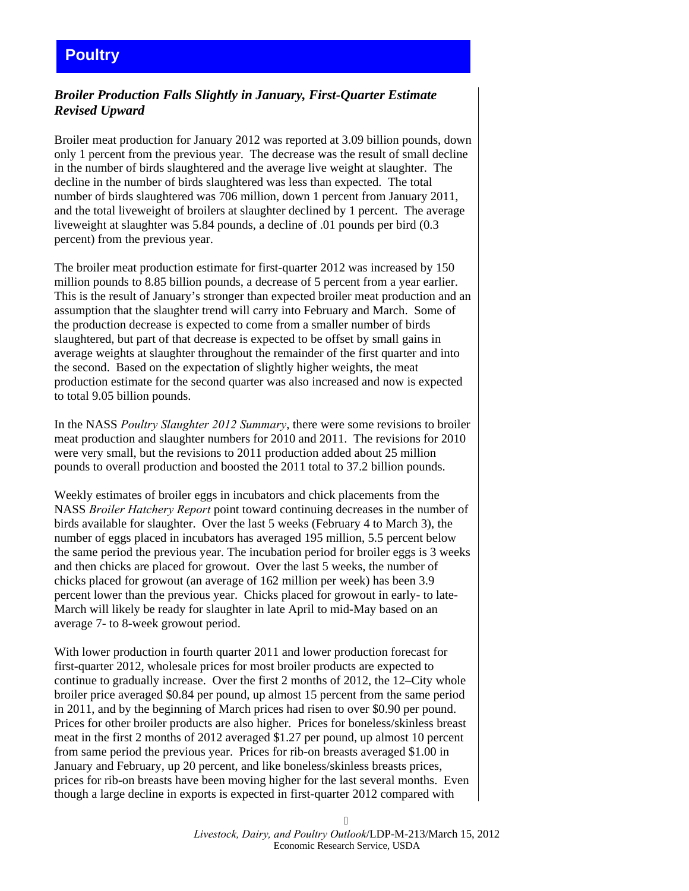## <span id="page-6-0"></span>**Poultry**

## *Broiler Production Falls Slightly in January, First-Quarter Estimate Revised Upward*

Broiler meat production for January 2012 was reported at 3.09 billion pounds, down only 1 percent from the previous year. The decrease was the result of small decline in the number of birds slaughtered and the average live weight at slaughter. The decline in the number of birds slaughtered was less than expected. The total number of birds slaughtered was 706 million, down 1 percent from January 2011, and the total liveweight of broilers at slaughter declined by 1 percent. The average liveweight at slaughter was 5.84 pounds, a decline of .01 pounds per bird (0.3 percent) from the previous year.

The broiler meat production estimate for first-quarter 2012 was increased by 150 million pounds to 8.85 billion pounds, a decrease of 5 percent from a year earlier. This is the result of January's stronger than expected broiler meat production and an assumption that the slaughter trend will carry into February and March. Some of the production decrease is expected to come from a smaller number of birds slaughtered, but part of that decrease is expected to be offset by small gains in average weights at slaughter throughout the remainder of the first quarter and into the second. Based on the expectation of slightly higher weights, the meat production estimate for the second quarter was also increased and now is expected to total 9.05 billion pounds.

In the NASS *Poultry Slaughter 2012 Summary*, there were some revisions to broiler meat production and slaughter numbers for 2010 and 2011. The revisions for 2010 were very small, but the revisions to 2011 production added about 25 million pounds to overall production and boosted the 2011 total to 37.2 billion pounds.

Weekly estimates of broiler eggs in incubators and chick placements from the NASS *Broiler Hatchery Report* point toward continuing decreases in the number of birds available for slaughter. Over the last 5 weeks (February 4 to March 3), the number of eggs placed in incubators has averaged 195 million, 5.5 percent below the same period the previous year. The incubation period for broiler eggs is 3 weeks and then chicks are placed for growout. Over the last 5 weeks, the number of chicks placed for growout (an average of 162 million per week) has been 3.9 percent lower than the previous year. Chicks placed for growout in early- to late-March will likely be ready for slaughter in late April to mid-May based on an average 7- to 8-week growout period.

With lower production in fourth quarter 2011 and lower production forecast for first-quarter 2012, wholesale prices for most broiler products are expected to continue to gradually increase. Over the first 2 months of 2012, the 12–City whole broiler price averaged \$0.84 per pound, up almost 15 percent from the same period in 2011, and by the beginning of March prices had risen to over \$0.90 per pound. Prices for other broiler products are also higher. Prices for boneless/skinless breast meat in the first 2 months of 2012 averaged \$1.27 per pound, up almost 10 percent from same period the previous year. Prices for rib-on breasts averaged \$1.00 in January and February, up 20 percent, and like boneless/skinless breasts prices, prices for rib-on breasts have been moving higher for the last several months. Even though a large decline in exports is expected in first-quarter 2012 compared with

> *Livestock, Dairy, and Poultry Outlook*/LDP-M-213/March 15, 2012 Economic Research Service, USDA

 $\overline{Q}$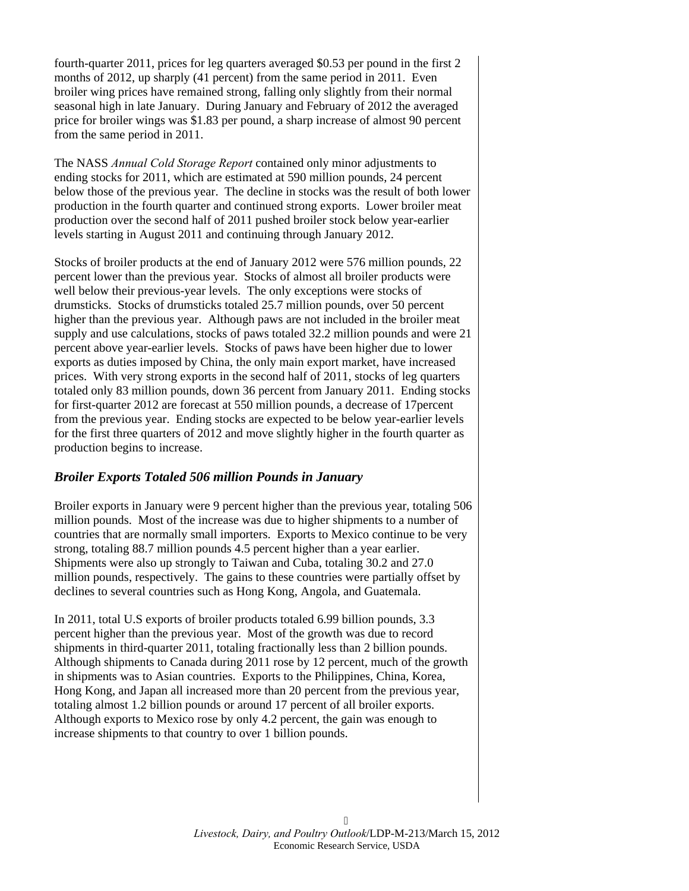fourth-quarter 2011, prices for leg quarters averaged \$0.53 per pound in the first 2 months of 2012, up sharply (41 percent) from the same period in 2011. Even broiler wing prices have remained strong, falling only slightly from their normal seasonal high in late January. During January and February of 2012 the averaged price for broiler wings was \$1.83 per pound, a sharp increase of almost 90 percent from the same period in 2011.

The NASS *Annual Cold Storage Report* contained only minor adjustments to ending stocks for 2011, which are estimated at 590 million pounds, 24 percent below those of the previous year. The decline in stocks was the result of both lower production in the fourth quarter and continued strong exports. Lower broiler meat production over the second half of 2011 pushed broiler stock below year-earlier levels starting in August 2011 and continuing through January 2012.

Stocks of broiler products at the end of January 2012 were 576 million pounds, 22 percent lower than the previous year. Stocks of almost all broiler products were well below their previous-year levels. The only exceptions were stocks of drumsticks. Stocks of drumsticks totaled 25.7 million pounds, over 50 percent higher than the previous year. Although paws are not included in the broiler meat supply and use calculations, stocks of paws totaled 32.2 million pounds and were 21 percent above year-earlier levels. Stocks of paws have been higher due to lower exports as duties imposed by China, the only main export market, have increased prices. With very strong exports in the second half of 2011, stocks of leg quarters totaled only 83 million pounds, down 36 percent from January 2011. Ending stocks for first-quarter 2012 are forecast at 550 million pounds, a decrease of 17percent from the previous year. Ending stocks are expected to be below year-earlier levels for the first three quarters of 2012 and move slightly higher in the fourth quarter as production begins to increase.

## *Broiler Exports Totaled 506 million Pounds in January*

Broiler exports in January were 9 percent higher than the previous year, totaling 506 million pounds. Most of the increase was due to higher shipments to a number of countries that are normally small importers. Exports to Mexico continue to be very strong, totaling 88.7 million pounds 4.5 percent higher than a year earlier. Shipments were also up strongly to Taiwan and Cuba, totaling 30.2 and 27.0 million pounds, respectively. The gains to these countries were partially offset by declines to several countries such as Hong Kong, Angola, and Guatemala.

In 2011, total U.S exports of broiler products totaled 6.99 billion pounds, 3.3 percent higher than the previous year. Most of the growth was due to record shipments in third-quarter 2011, totaling fractionally less than 2 billion pounds. Although shipments to Canada during 2011 rose by 12 percent, much of the growth in shipments was to Asian countries. Exports to the Philippines, China, Korea, Hong Kong, and Japan all increased more than 20 percent from the previous year, totaling almost 1.2 billion pounds or around 17 percent of all broiler exports. Although exports to Mexico rose by only 4.2 percent, the gain was enough to increase shipments to that country to over 1 billion pounds.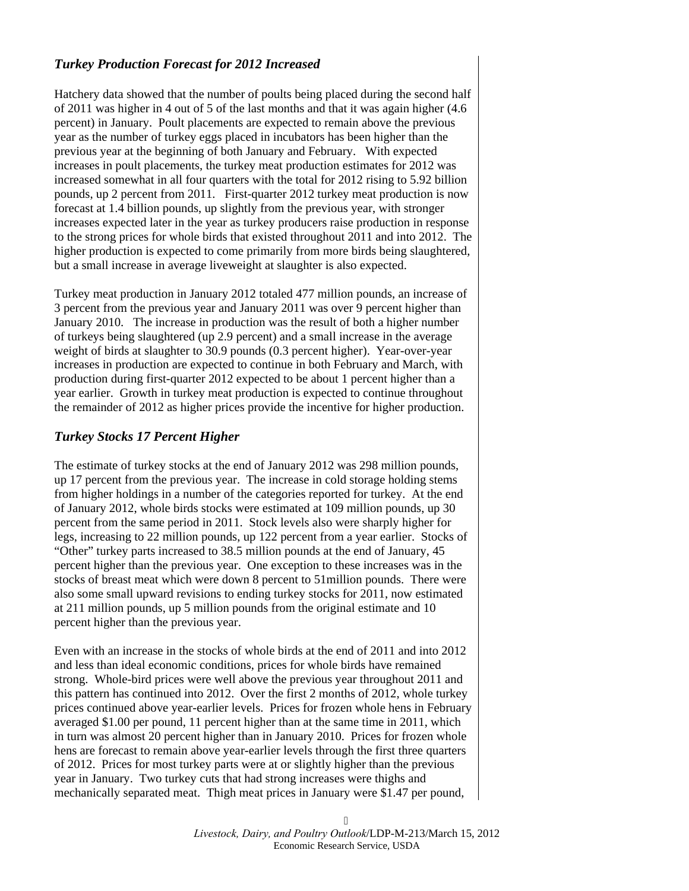## *Turkey Production Forecast for 2012 Increased*

Hatchery data showed that the number of poults being placed during the second half of 2011 was higher in 4 out of 5 of the last months and that it was again higher (4.6 percent) in January. Poult placements are expected to remain above the previous year as the number of turkey eggs placed in incubators has been higher than the previous year at the beginning of both January and February. With expected increases in poult placements, the turkey meat production estimates for 2012 was increased somewhat in all four quarters with the total for 2012 rising to 5.92 billion pounds, up 2 percent from 2011. First-quarter 2012 turkey meat production is now forecast at 1.4 billion pounds, up slightly from the previous year, with stronger increases expected later in the year as turkey producers raise production in response to the strong prices for whole birds that existed throughout 2011 and into 2012. The higher production is expected to come primarily from more birds being slaughtered, but a small increase in average liveweight at slaughter is also expected.

Turkey meat production in January 2012 totaled 477 million pounds, an increase of 3 percent from the previous year and January 2011 was over 9 percent higher than January 2010. The increase in production was the result of both a higher number of turkeys being slaughtered (up 2.9 percent) and a small increase in the average weight of birds at slaughter to 30.9 pounds (0.3 percent higher). Year-over-year increases in production are expected to continue in both February and March, with production during first-quarter 2012 expected to be about 1 percent higher than a year earlier. Growth in turkey meat production is expected to continue throughout the remainder of 2012 as higher prices provide the incentive for higher production.

## *Turkey Stocks 17 Percent Higher*

The estimate of turkey stocks at the end of January 2012 was 298 million pounds, up 17 percent from the previous year. The increase in cold storage holding stems from higher holdings in a number of the categories reported for turkey. At the end of January 2012, whole birds stocks were estimated at 109 million pounds, up 30 percent from the same period in 2011. Stock levels also were sharply higher for legs, increasing to 22 million pounds, up 122 percent from a year earlier. Stocks of "Other" turkey parts increased to 38.5 million pounds at the end of January, 45 percent higher than the previous year. One exception to these increases was in the stocks of breast meat which were down 8 percent to 51million pounds. There were also some small upward revisions to ending turkey stocks for 2011, now estimated at 211 million pounds, up 5 million pounds from the original estimate and 10 percent higher than the previous year.

Even with an increase in the stocks of whole birds at the end of 2011 and into 2012 and less than ideal economic conditions, prices for whole birds have remained strong. Whole-bird prices were well above the previous year throughout 2011 and this pattern has continued into 2012. Over the first 2 months of 2012, whole turkey prices continued above year-earlier levels. Prices for frozen whole hens in February averaged \$1.00 per pound, 11 percent higher than at the same time in 2011, which in turn was almost 20 percent higher than in January 2010. Prices for frozen whole hens are forecast to remain above year-earlier levels through the first three quarters of 2012. Prices for most turkey parts were at or slightly higher than the previous year in January. Two turkey cuts that had strong increases were thighs and mechanically separated meat. Thigh meat prices in January were \$1.47 per pound,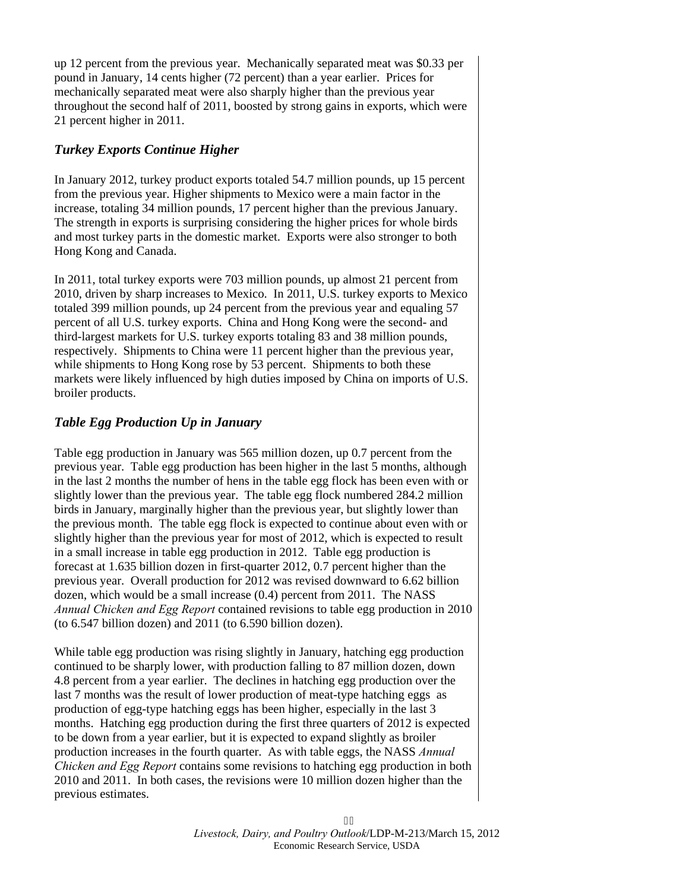up 12 percent from the previous year. Mechanically separated meat was \$0.33 per pound in January, 14 cents higher (72 percent) than a year earlier. Prices for mechanically separated meat were also sharply higher than the previous year throughout the second half of 2011, boosted by strong gains in exports, which were 21 percent higher in 2011.

## *Turkey Exports Continue Higher*

In January 2012, turkey product exports totaled 54.7 million pounds, up 15 percent from the previous year. Higher shipments to Mexico were a main factor in the increase, totaling 34 million pounds, 17 percent higher than the previous January. The strength in exports is surprising considering the higher prices for whole birds and most turkey parts in the domestic market. Exports were also stronger to both Hong Kong and Canada.

In 2011, total turkey exports were 703 million pounds, up almost 21 percent from 2010, driven by sharp increases to Mexico. In 2011, U.S. turkey exports to Mexico totaled 399 million pounds, up 24 percent from the previous year and equaling 57 percent of all U.S. turkey exports. China and Hong Kong were the second- and third-largest markets for U.S. turkey exports totaling 83 and 38 million pounds, respectively. Shipments to China were 11 percent higher than the previous year, while shipments to Hong Kong rose by 53 percent. Shipments to both these markets were likely influenced by high duties imposed by China on imports of U.S. broiler products.

## *Table Egg Production Up in January*

Table egg production in January was 565 million dozen, up 0.7 percent from the previous year. Table egg production has been higher in the last 5 months, although in the last 2 months the number of hens in the table egg flock has been even with or slightly lower than the previous year. The table egg flock numbered 284.2 million birds in January, marginally higher than the previous year, but slightly lower than the previous month. The table egg flock is expected to continue about even with or slightly higher than the previous year for most of 2012, which is expected to result in a small increase in table egg production in 2012. Table egg production is forecast at 1.635 billion dozen in first-quarter 2012, 0.7 percent higher than the previous year. Overall production for 2012 was revised downward to 6.62 billion dozen, which would be a small increase (0.4) percent from 2011. The NASS *Annual Chicken and Egg Report* contained revisions to table egg production in 2010 (to 6.547 billion dozen) and 2011 (to 6.590 billion dozen).

While table egg production was rising slightly in January, hatching egg production continued to be sharply lower, with production falling to 87 million dozen, down 4.8 percent from a year earlier. The declines in hatching egg production over the last 7 months was the result of lower production of meat-type hatching eggs as production of egg-type hatching eggs has been higher, especially in the last 3 months. Hatching egg production during the first three quarters of 2012 is expected to be down from a year earlier, but it is expected to expand slightly as broiler production increases in the fourth quarter. As with table eggs, the NASS *Annual Chicken and Egg Report* contains some revisions to hatching egg production in both 2010 and 2011. In both cases, the revisions were 10 million dozen higher than the previous estimates.

> 32 *Livestock, Dairy, and Poultry Outlook*/LDP-M-213/March 15, 2012 Economic Research Service, USDA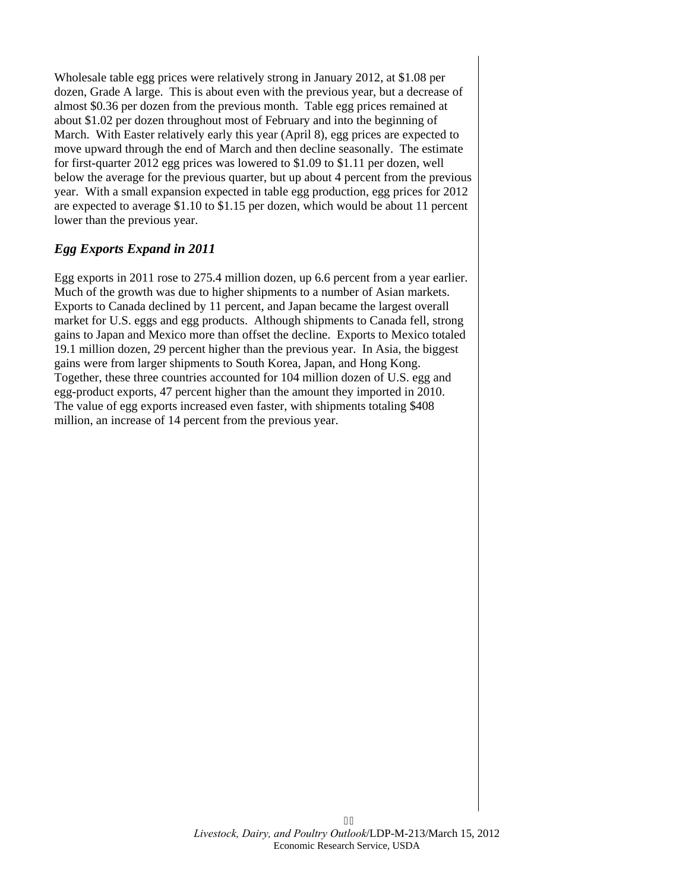Wholesale table egg prices were relatively strong in January 2012, at \$1.08 per dozen, Grade A large. This is about even with the previous year, but a decrease of almost \$0.36 per dozen from the previous month. Table egg prices remained at about \$1.02 per dozen throughout most of February and into the beginning of March. With Easter relatively early this year (April 8), egg prices are expected to move upward through the end of March and then decline seasonally. The estimate for first-quarter 2012 egg prices was lowered to \$1.09 to \$1.11 per dozen, well below the average for the previous quarter, but up about 4 percent from the previous year. With a small expansion expected in table egg production, egg prices for 2012 are expected to average \$1.10 to \$1.15 per dozen, which would be about 11 percent lower than the previous year.

## *Egg Exports Expand in 2011*

Egg exports in 2011 rose to 275.4 million dozen, up 6.6 percent from a year earlier. Much of the growth was due to higher shipments to a number of Asian markets. Exports to Canada declined by 11 percent, and Japan became the largest overall market for U.S. eggs and egg products. Although shipments to Canada fell, strong gains to Japan and Mexico more than offset the decline. Exports to Mexico totaled 19.1 million dozen, 29 percent higher than the previous year. In Asia, the biggest gains were from larger shipments to South Korea, Japan, and Hong Kong. Together, these three countries accounted for 104 million dozen of U.S. egg and egg-product exports, 47 percent higher than the amount they imported in 2010. The value of egg exports increased even faster, with shipments totaling \$408 million, an increase of 14 percent from the previous year.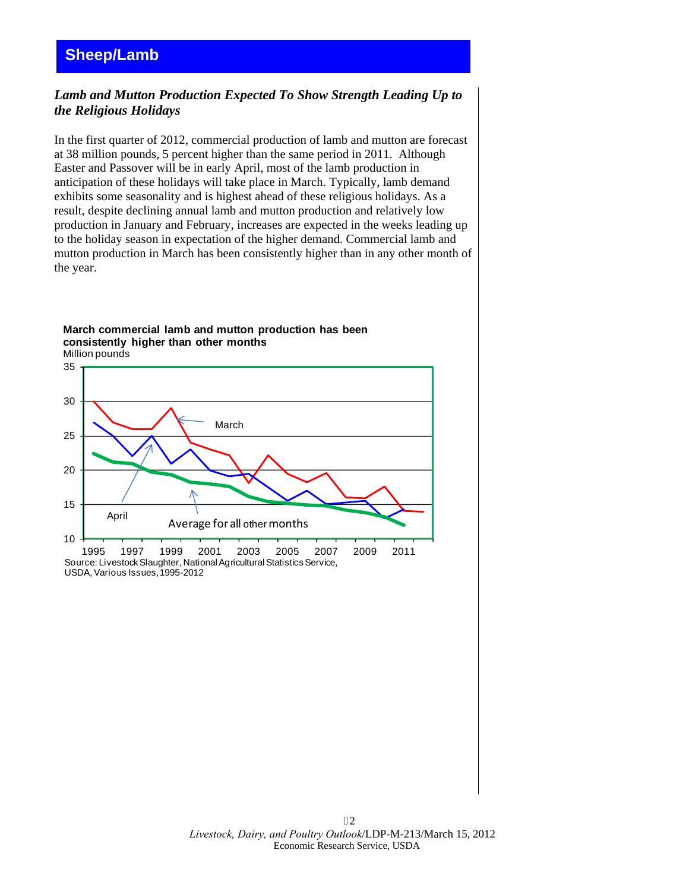## <span id="page-11-0"></span>**Sheep/Lamb**

## *Lamb and Mutton Production Expected To Show Strength Leading Up to the Religious Holidays*

In the first quarter of 2012, commercial production of lamb and mutton are forecast at 38 million pounds, 5 percent higher than the same period in 2011. Although Easter and Passover will be in early April, most of the lamb production in anticipation of these holidays will take place in March. Typically, lamb demand exhibits some seasonality and is highest ahead of these religious holidays. As a result, despite declining annual lamb and mutton production and relatively low production in January and February, increases are expected in the weeks leading up to the holiday season in expectation of the higher demand. Commercial lamb and mutton production in March has been consistently higher than in any other month of the year.

## Million pounds **March commercial lamb and mutton production has been consistently higher than other months**



USDA, Various Issues, 1995-2012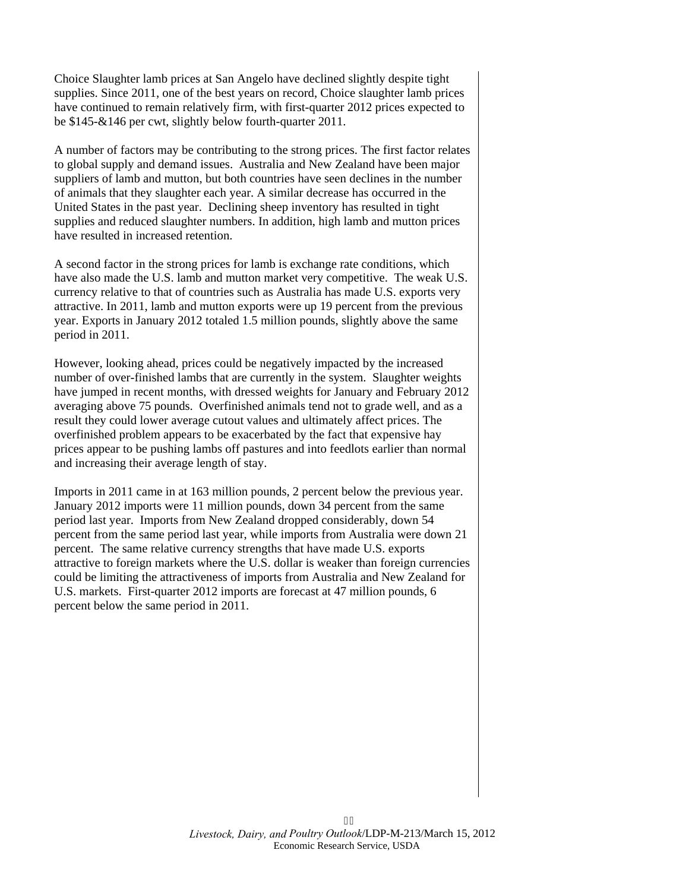Choice Slaughter lamb prices at San Angelo have declined slightly despite tight supplies. Since 2011, one of the best years on record, Choice slaughter lamb prices have continued to remain relatively firm, with first-quarter 2012 prices expected to be \$145-&146 per cwt, slightly below fourth-quarter 2011.

A number of factors may be contributing to the strong prices. The first factor relates to global supply and demand issues. Australia and New Zealand have been major suppliers of lamb and mutton, but both countries have seen declines in the number of animals that they slaughter each year. A similar decrease has occurred in the United States in the past year. Declining sheep inventory has resulted in tight supplies and reduced slaughter numbers. In addition, high lamb and mutton prices have resulted in increased retention.

A second factor in the strong prices for lamb is exchange rate conditions, which have also made the U.S. lamb and mutton market very competitive. The weak U.S. currency relative to that of countries such as Australia has made U.S. exports very attractive. In 2011, lamb and mutton exports were up 19 percent from the previous year. Exports in January 2012 totaled 1.5 million pounds, slightly above the same period in 2011.

However, looking ahead, prices could be negatively impacted by the increased number of over-finished lambs that are currently in the system. Slaughter weights have jumped in recent months, with dressed weights for January and February 2012 averaging above 75 pounds. Overfinished animals tend not to grade well, and as a result they could lower average cutout values and ultimately affect prices. The overfinished problem appears to be exacerbated by the fact that expensive hay prices appear to be pushing lambs off pastures and into feedlots earlier than normal and increasing their average length of stay.

Imports in 2011 came in at 163 million pounds, 2 percent below the previous year. January 2012 imports were 11 million pounds, down 34 percent from the same period last year. Imports from New Zealand dropped considerably, down 54 percent from the same period last year, while imports from Australia were down 21 percent. The same relative currency strengths that have made U.S. exports attractive to foreign markets where the U.S. dollar is weaker than foreign currencies could be limiting the attractiveness of imports from Australia and New Zealand for U.S. markets. First-quarter 2012 imports are forecast at 47 million pounds, 6 percent below the same period in 2011.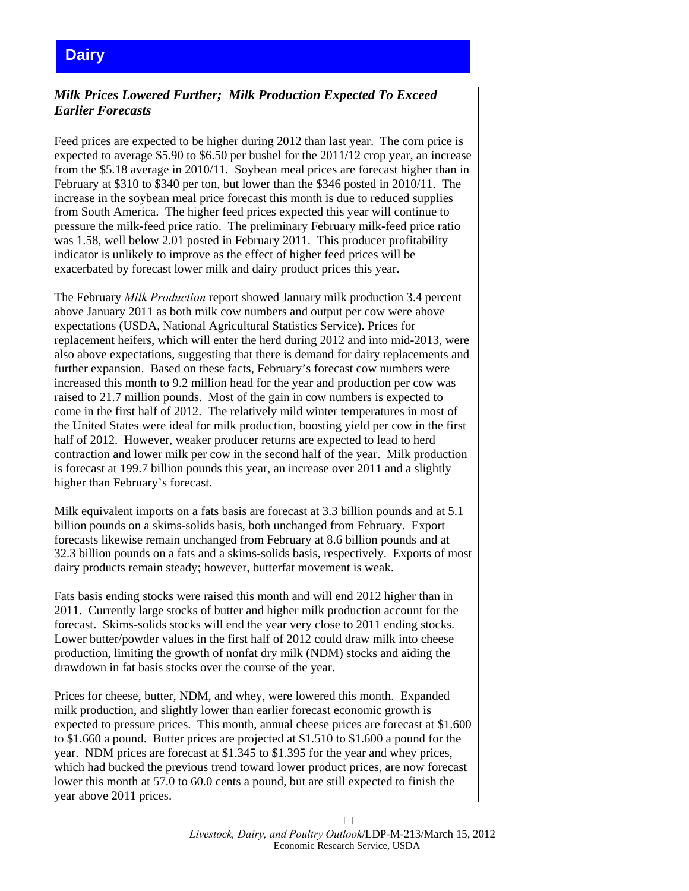## <span id="page-13-0"></span>**Dairy**

## *Milk Prices Lowered Further; Milk Production Expected To Exceed Earlier Forecasts*

Feed prices are expected to be higher during 2012 than last year. The corn price is expected to average \$5.90 to \$6.50 per bushel for the 2011/12 crop year, an increase from the \$5.18 average in 2010/11. Soybean meal prices are forecast higher than in February at \$310 to \$340 per ton, but lower than the \$346 posted in 2010/11. The increase in the soybean meal price forecast this month is due to reduced supplies from South America. The higher feed prices expected this year will continue to pressure the milk-feed price ratio. The preliminary February milk-feed price ratio was 1.58, well below 2.01 posted in February 2011. This producer profitability indicator is unlikely to improve as the effect of higher feed prices will be exacerbated by forecast lower milk and dairy product prices this year.

The February *Milk Production* report showed January milk production 3.4 percent above January 2011 as both milk cow numbers and output per cow were above expectations (USDA, National Agricultural Statistics Service). Prices for replacement heifers, which will enter the herd during 2012 and into mid-2013, were also above expectations, suggesting that there is demand for dairy replacements and further expansion. Based on these facts, February's forecast cow numbers were increased this month to 9.2 million head for the year and production per cow was raised to 21.7 million pounds. Most of the gain in cow numbers is expected to come in the first half of 2012. The relatively mild winter temperatures in most of the United States were ideal for milk production, boosting yield per cow in the first half of 2012. However, weaker producer returns are expected to lead to herd contraction and lower milk per cow in the second half of the year. Milk production is forecast at 199.7 billion pounds this year, an increase over 2011 and a slightly higher than February's forecast.

Milk equivalent imports on a fats basis are forecast at 3.3 billion pounds and at 5.1 billion pounds on a skims-solids basis, both unchanged from February. Export forecasts likewise remain unchanged from February at 8.6 billion pounds and at 32.3 billion pounds on a fats and a skims-solids basis, respectively. Exports of most dairy products remain steady; however, butterfat movement is weak.

Fats basis ending stocks were raised this month and will end 2012 higher than in 2011. Currently large stocks of butter and higher milk production account for the forecast. Skims-solids stocks will end the year very close to 2011 ending stocks. Lower butter/powder values in the first half of 2012 could draw milk into cheese production, limiting the growth of nonfat dry milk (NDM) stocks and aiding the drawdown in fat basis stocks over the course of the year.

Prices for cheese, butter, NDM, and whey, were lowered this month. Expanded milk production, and slightly lower than earlier forecast economic growth is expected to pressure prices. This month, annual cheese prices are forecast at \$1.600 to \$1.660 a pound. Butter prices are projected at \$1.510 to \$1.600 a pound for the year. NDM prices are forecast at \$1.345 to \$1.395 for the year and whey prices, which had bucked the previous trend toward lower product prices, are now forecast lower this month at 57.0 to 60.0 cents a pound, but are still expected to finish the year above 2011 prices.

> $36$ *Livestock, Dairy, and Poultry Outlook*/LDP-M-213/March 15, 2012 Economic Research Service, USDA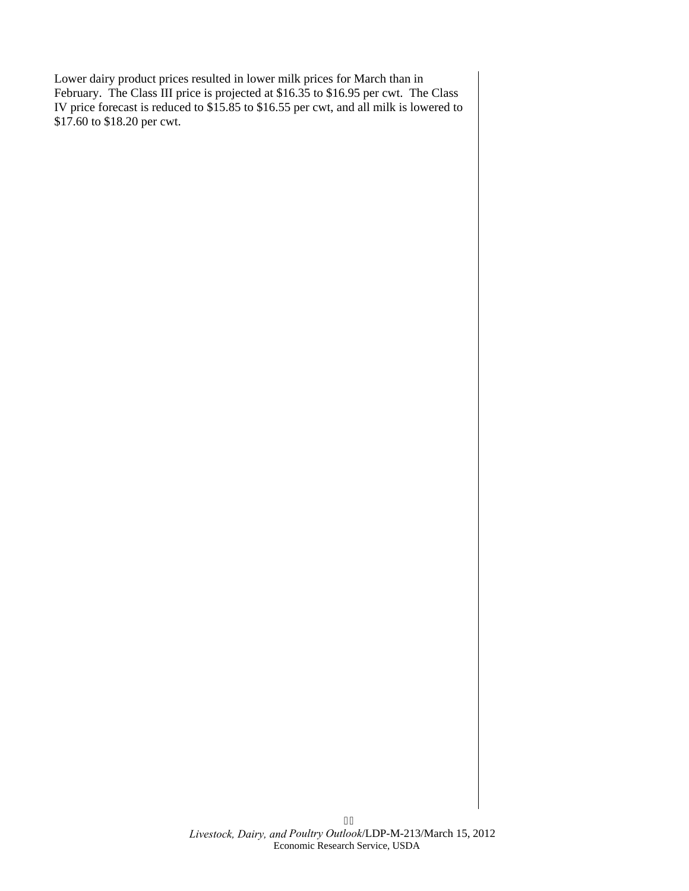Lower dairy product prices resulted in lower milk prices for March than in February. The Class III price is projected at \$16.35 to \$16.95 per cwt. The Class IV price forecast is reduced to \$15.85 to \$16.55 per cwt, and all milk is lowered to \$17.60 to \$18.20 per cwt.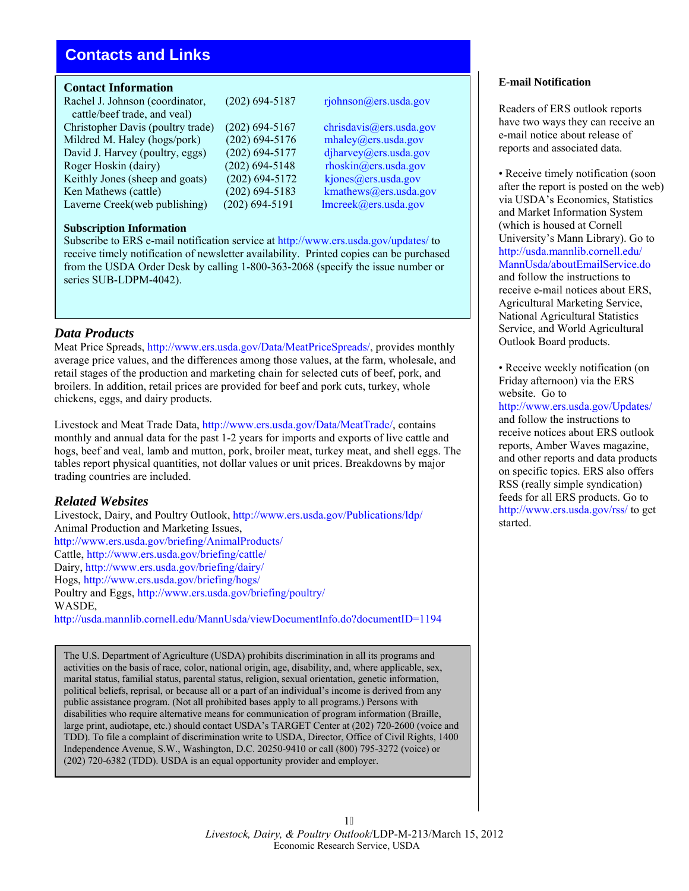## <span id="page-15-0"></span>**Contacts and Links**

## **Contact Information**

Rachel J. Johnson (coordinator, (202) 694-5187 rjohnson@ers.usda.gov cattle/beef trade, and veal) Christopher Davis (poultry trade) (202) 694-5167 [chrisdavis@ers.usda.gov](mailto:chrisdavis@ers.usda.gov) Mildred M. Haley (hogs/pork)  $(202)$  694-5176 [mhaley@ers.usda.gov](mailto:mhaley@ers.usda.gov) David J. Harvey (poultry, eggs) (202) 694-5177 [djharvey@ers.usda.gov](mailto:djharvey@ers.usda.gov) Roger Hoskin (dairy) (202) 694-5148 rhoskin (ders.usda.gov<br>Keithly Jones (sheep and goats) (202) 694-5172 kjones (a)ers.usda.gov Keithly Jones (sheep and goats)  $(202)$  694-5172 Ken Mathews (cattle) (202) 694-5183 kmathews @ers.usda.gov Laverne Creek(web publishing) (202) 694-5191 l[mcreek@ers.usda.gov](mailto:lmcreek@ers.usda.gov)

## **Subscription Information**

Subscribe to ERS e-mail notification service at <http://www.ers.usda.gov/updates/>to receive timely notification of newsletter availability. Printed copies can be purchased from the USDA Order Desk by calling 1-800-363-2068 (specify the issue number or series SUB-LDPM-4042).

## *Data Products*

Meat Price Spreads, [http://www.ers.usda.gov/Data/MeatPriceSpreads/,](http://www.ers.usda.gov/Data/MeatPriceSpreads/) provides monthly average price values, and the differences among those values, at the farm, wholesale, and retail stages of the production and marketing chain for selected cuts of beef, pork, and broilers. In addition, retail prices are provided for beef and pork cuts, turkey, whole chickens, eggs, and dairy products.

Livestock and Meat Trade Data, <http://www.ers.usda.gov/Data/MeatTrade/>, contains monthly and annual data for the past 1-2 years for imports and exports of live cattle and hogs, beef and veal, lamb and mutton, pork, broiler meat, turkey meat, and shell eggs. The tables report physical quantities, not dollar values or unit prices. Breakdowns by major trading countries are included.

## *Related Websites*

Livestock, Dairy, and Poultry Outlook,<http://www.ers.usda.gov/Publications/ldp/> Animal Production and Marketing Issues, <http://www.ers.usda.gov/briefing/AnimalProducts/> Cattle,<http://www.ers.usda.gov/briefing/cattle/> Dairy,<http://www.ers.usda.gov/briefing/dairy/> Hogs,<http://www.ers.usda.gov/briefing/hogs/> Poultry and Eggs,<http://www.ers.usda.gov/briefing/poultry/> WASDE,

<http://usda.mannlib.cornell.edu/MannUsda/viewDocumentInfo.do?documentID=1194>

The U.S. Department of Agriculture (USDA) prohibits discrimination in all its programs and activities on the basis of race, color, national origin, age, disability, and, where applicable, sex, marital status, familial status, parental status, religion, sexual orientation, genetic information, political beliefs, reprisal, or because all or a part of an individual's income is derived from any public assistance program. (Not all prohibited bases apply to all programs.) Persons with disabilities who require alternative means for communication of program information (Braille, large print, audiotape, etc.) should contact USDA's TARGET Center at (202) 720-2600 (voice and TDD). To file a complaint of discrimination write to USDA, Director, Office of Civil Rights, 1400 Independence Avenue, S.W., Washington, D.C. 20250-9410 or call (800) 795-3272 (voice) or (202) 720-6382 (TDD). USDA is an equal opportunity provider and employer.

## 18 *Livestock, Dairy, & Poultry Outlook*/LDP-M-213/March 15, 2012 Economic Research Service, USDA

## **E-mail Notification**

Readers of ERS outlook reports have two ways they can receive an e-mail notice about release of reports and associated data.

• Receive timely notification (soon after the report is posted on the web) via USDA's Economics, Statistics and Market Information System (which is housed at Cornell University's Mann Library). Go to [http://usda.mannlib.cornell.edu/](http://usda.mannlib.cornell.edu/MannUsda/aboutEmailService.do)  MannUsda/aboutEmailService.do and follow the instructions to receive e-mail notices about ERS, Agricultural Marketing Service, National Agricultural Statistics Service, and World Agricultural Outlook Board products.

• Receive weekly notification (on Friday afternoon) via the ERS website. Go to <http://www.ers.usda.gov/Updates/> and follow the instructions to receive notices about ERS outlook reports, Amber Waves magazine, and other reports and data products on specific topics. ERS also offers RSS (really simple syndication) feeds for all ERS products. Go to <http://www.ers.usda.gov/rss/>to get started.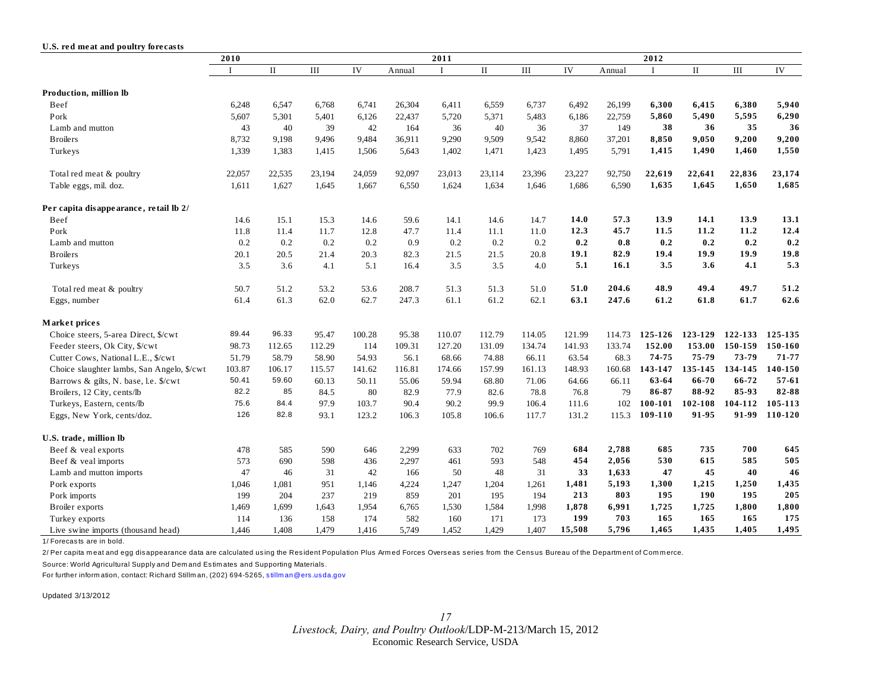#### <span id="page-16-0"></span>**U.S. re d me at and poultry fore casts**

|                                            | 2010   |              |        | 2011   |        |             |              |        | 2012   |        |         |             |         |           |
|--------------------------------------------|--------|--------------|--------|--------|--------|-------------|--------------|--------|--------|--------|---------|-------------|---------|-----------|
|                                            | I      | $\mathbf{I}$ | III    | IV     | Annual | $\mathbf I$ | $\mathbf{I}$ | III    | IV     | Annual |         | $\rm _{II}$ | III     | IV        |
| Production, million lb                     |        |              |        |        |        |             |              |        |        |        |         |             |         |           |
|                                            |        |              |        |        |        |             |              |        |        |        |         |             | 6,380   |           |
| Beef                                       | 6,248  | 6,547        | 6,768  | 6,741  | 26,304 | 6,411       | 6,559        | 6,737  | 6,492  | 26,199 | 6,300   | 6,415       |         | 5,940     |
| Pork                                       | 5,607  | 5,301        | 5,401  | 6,126  | 22,437 | 5,720       | 5,371        | 5,483  | 6,186  | 22,759 | 5,860   | 5,490       | 5,595   | 6,290     |
| Lamb and mutton                            | 43     | 40           | 39     | 42     | 164    | 36          | 40           | 36     | 37     | 149    | 38      | 36          | 35      | 36        |
| <b>Broilers</b>                            | 8,732  | 9,198        | 9,496  | 9,484  | 36,911 | 9,290       | 9,509        | 9,542  | 8,860  | 37,201 | 8,850   | 9,050       | 9,200   | 9,200     |
| Turkeys                                    | 1,339  | 1,383        | 1,415  | 1,506  | 5,643  | 1,402       | 1,471        | 1,423  | 1,495  | 5,791  | 1,415   | 1,490       | 1,460   | 1,550     |
| Total red meat & poultry                   | 22,057 | 22,535       | 23,194 | 24,059 | 92,097 | 23,013      | 23,114       | 23,396 | 23,227 | 92,750 | 22,619  | 22,641      | 22,836  | 23,174    |
| Table eggs, mil. doz.                      | 1,611  | 1,627        | 1,645  | 1,667  | 6,550  | 1,624       | 1,634        | 1,646  | 1,686  | 6,590  | 1,635   | 1,645       | 1,650   | 1,685     |
| Per capita disappearance, retail lb 2/     |        |              |        |        |        |             |              |        |        |        |         |             |         |           |
| Beef                                       | 14.6   | 15.1         | 15.3   | 14.6   | 59.6   | 14.1        | 14.6         | 14.7   | 14.0   | 57.3   | 13.9    | 14.1        | 13.9    | 13.1      |
| Pork                                       | 11.8   | 11.4         | 11.7   | 12.8   | 47.7   | 11.4        | 11.1         | 11.0   | 12.3   | 45.7   | 11.5    | 11.2        | 11.2    | 12.4      |
| Lamb and mutton                            | 0.2    | 0.2          | 0.2    | 0.2    | 0.9    | 0.2         | 0.2          | 0.2    | 0.2    | 0.8    | 0.2     | 0.2         | 0.2     | 0.2       |
| <b>Broilers</b>                            | 20.1   | 20.5         | 21.4   | 20.3   | 82.3   | 21.5        | 21.5         | 20.8   | 19.1   | 82.9   | 19.4    | 19.9        | 19.9    | 19.8      |
| Turkeys                                    | 3.5    | 3.6          | 4.1    | 5.1    | 16.4   | 3.5         | 3.5          | 4.0    | 5.1    | 16.1   | 3.5     | 3.6         | 4.1     | 5.3       |
|                                            |        |              |        |        |        |             |              |        |        |        |         |             |         |           |
| Total red meat & poultry                   | 50.7   | 51.2         | 53.2   | 53.6   | 208.7  | 51.3        | 51.3         | 51.0   | 51.0   | 204.6  | 48.9    | 49.4        | 49.7    | 51.2      |
| Eggs, number                               | 61.4   | 61.3         | 62.0   | 62.7   | 247.3  | 61.1        | 61.2         | 62.1   | 63.1   | 247.6  | 61.2    | 61.8        | 61.7    | 62.6      |
| Market prices                              |        |              |        |        |        |             |              |        |        |        |         |             |         |           |
| Choice steers, 5-area Direct, \$/cwt       | 89.44  | 96.33        | 95.47  | 100.28 | 95.38  | 110.07      | 112.79       | 114.05 | 121.99 | 114.73 | 125-126 | 123-129     | 122-133 | 125-135   |
| Feeder steers, Ok City, \$/cwt             | 98.73  | 112.65       | 112.29 | 114    | 109.31 | 127.20      | 131.09       | 134.74 | 141.93 | 133.74 | 152.00  | 153.00      | 150-159 | 150-160   |
| Cutter Cows, National L.E., \$/cwt         | 51.79  | 58.79        | 58.90  | 54.93  | 56.1   | 68.66       | 74.88        | 66.11  | 63.54  | 68.3   | 74-75   | 75-79       | 73-79   | 71-77     |
| Choice slaughter lambs, San Angelo, \$/cwt | 103.87 | 106.17       | 115.57 | 141.62 | 116.81 | 174.66      | 157.99       | 161.13 | 148.93 | 160.68 | 143-147 | 135-145     | 134-145 | 140-150   |
| Barrows & gilts, N. base, l.e. \$/cwt      | 50.41  | 59.60        | 60.13  | 50.11  | 55.06  | 59.94       | 68.80        | 71.06  | 64.66  | 66.11  | 63-64   | 66-70       | 66-72   | $57 - 61$ |
| Broilers, 12 City, cents/lb                | 82.2   | 85           | 84.5   | 80     | 82.9   | 77.9        | 82.6         | 78.8   | 76.8   | 79     | 86-87   | 88-92       | 85-93   | 82-88     |
| Turkeys, Eastern, cents/lb                 | 75.6   | 84.4         | 97.9   | 103.7  | 90.4   | 90.2        | 99.9         | 106.4  | 111.6  | 102    | 100-101 | 102-108     | 104-112 | 105-113   |
| Eggs, New York, cents/doz.                 | 126    | 82.8         | 93.1   | 123.2  | 106.3  | 105.8       | 106.6        | 117.7  | 131.2  | 115.3  | 109-110 | 91-95       | 91-99   | 110-120   |
| U.S. trade, million lb                     |        |              |        |        |        |             |              |        |        |        |         |             |         |           |
| Beef & veal exports                        | 478    | 585          | 590    | 646    | 2,299  | 633         | 702          | 769    | 684    | 2,788  | 685     | 735         | 700     | 645       |
| Beef & veal imports                        | 573    | 690          | 598    | 436    | 2,297  | 461         | 593          | 548    | 454    | 2,056  | 530     | 615         | 585     | 505       |
| Lamb and mutton imports                    | 47     | 46           | 31     | 42     | 166    | 50          | 48           | 31     | 33     | 1,633  | 47      | 45          | 40      | 46        |
| Pork exports                               | 1,046  | 1,081        | 951    | 1,146  | 4,224  | 1,247       | 1,204        | 1,261  | 1,481  | 5,193  | 1,300   | 1,215       | 1,250   | 1,435     |
| Pork imports                               | 199    | 204          | 237    | 219    | 859    | 201         | 195          | 194    | 213    | 803    | 195     | 190         | 195     | 205       |
| Broiler exports                            | 1,469  | 1.699        | 1,643  | 1,954  | 6,765  | 1,530       | 1,584        | 1,998  | 1,878  | 6,991  | 1,725   | 1,725       | 1,800   | 1,800     |
| Turkey exports                             | 114    | 136          | 158    | 174    | 582    | 160         | 171          | 173    | 199    | 703    | 165     | 165         | 165     | 175       |
| Live swine imports (thousand head)         | 1,446  | 1,408        | 1,479  | 1,416  | 5,749  | 1,452       | 1,429        | 1,407  | 15,508 | 5,796  | 1,465   | 1,435       | 1,405   | 1,495     |

1/ Forecasts are in bold.

2/ Per capita meat and egg disappearance data are calculated using the Resident Population Plus Armed Forces Overseas series from the Census Bureau of the Department of Commerce.

Source: World Agricultural Supply and Dem and Estim ates and Supporting Materials.

For further inform ation, contact: Richard Stillm an, (202) 694-5265, stillm an @ers.usda.gov

Updated 3/13/2012